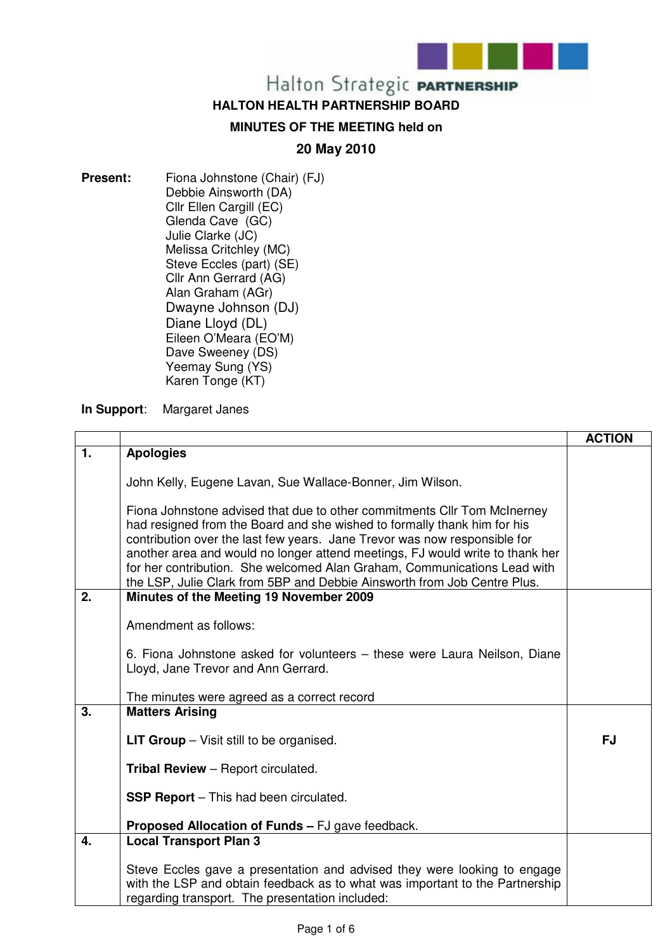

#### **HALTON HEALTH PARTNERSHIP BOARD**

#### **MINUTES OF THE MEETING held on**

#### **20 May 2010**

**Present:** Fiona Johnstone (Chair) (FJ) Debbie Ainsworth (DA) Cllr Ellen Cargill (EC) Glenda Cave (GC) Julie Clarke (JC) Melissa Critchley (MC) Steve Eccles (part) (SE) Cllr Ann Gerrard (AG) Alan Graham (AGr) Dwayne Johnson (DJ) Diane Lloyd (DL) Eileen O'Meara (EO'M) Dave Sweeney (DS) Yeemay Sung (YS) Karen Tonge (KT)

**In Support**: Margaret Janes

|                  |                                                                                                                                                                                                                                                                                                                                                                                                                                                                            | <b>ACTION</b> |
|------------------|----------------------------------------------------------------------------------------------------------------------------------------------------------------------------------------------------------------------------------------------------------------------------------------------------------------------------------------------------------------------------------------------------------------------------------------------------------------------------|---------------|
| 1.               | <b>Apologies</b>                                                                                                                                                                                                                                                                                                                                                                                                                                                           |               |
|                  | John Kelly, Eugene Lavan, Sue Wallace-Bonner, Jim Wilson.                                                                                                                                                                                                                                                                                                                                                                                                                  |               |
|                  | Fiona Johnstone advised that due to other commitments CIIr Tom McInerney<br>had resigned from the Board and she wished to formally thank him for his<br>contribution over the last few years. Jane Trevor was now responsible for<br>another area and would no longer attend meetings, FJ would write to thank her<br>for her contribution. She welcomed Alan Graham, Communications Lead with<br>the LSP, Julie Clark from 5BP and Debbie Ainsworth from Job Centre Plus. |               |
| 2.               | Minutes of the Meeting 19 November 2009                                                                                                                                                                                                                                                                                                                                                                                                                                    |               |
|                  | Amendment as follows:                                                                                                                                                                                                                                                                                                                                                                                                                                                      |               |
|                  | 6. Fiona Johnstone asked for volunteers – these were Laura Neilson, Diane<br>Lloyd, Jane Trevor and Ann Gerrard.                                                                                                                                                                                                                                                                                                                                                           |               |
|                  | The minutes were agreed as a correct record                                                                                                                                                                                                                                                                                                                                                                                                                                |               |
| $\overline{3}$ . | <b>Matters Arising</b>                                                                                                                                                                                                                                                                                                                                                                                                                                                     |               |
|                  | <b>LIT Group</b> $-$ Visit still to be organised.                                                                                                                                                                                                                                                                                                                                                                                                                          | <b>FJ</b>     |
|                  | <b>Tribal Review</b> - Report circulated.                                                                                                                                                                                                                                                                                                                                                                                                                                  |               |
|                  | <b>SSP Report</b> – This had been circulated.                                                                                                                                                                                                                                                                                                                                                                                                                              |               |
|                  | <b>Proposed Allocation of Funds - FJ gave feedback.</b>                                                                                                                                                                                                                                                                                                                                                                                                                    |               |
| 4.               | <b>Local Transport Plan 3</b>                                                                                                                                                                                                                                                                                                                                                                                                                                              |               |
|                  | Steve Eccles gave a presentation and advised they were looking to engage<br>with the LSP and obtain feedback as to what was important to the Partnership<br>regarding transport. The presentation included:                                                                                                                                                                                                                                                                |               |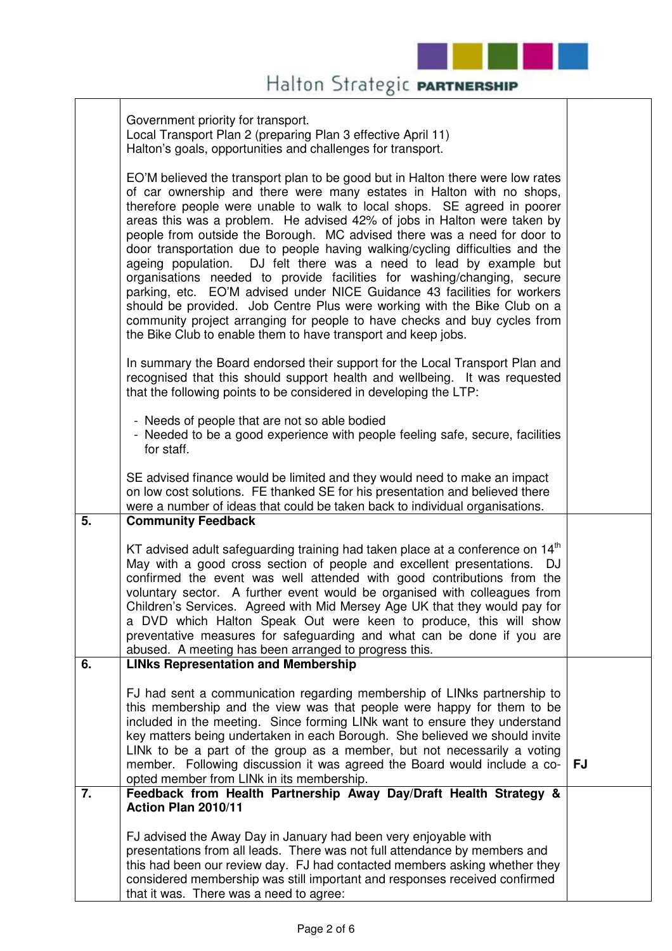

|    | Government priority for transport.<br>Local Transport Plan 2 (preparing Plan 3 effective April 11)<br>Halton's goals, opportunities and challenges for transport.                                                                                                                                                                                                                                                                                                                                                                                                                                                                                                                                                                                                                                                                                                                                                                   |           |
|----|-------------------------------------------------------------------------------------------------------------------------------------------------------------------------------------------------------------------------------------------------------------------------------------------------------------------------------------------------------------------------------------------------------------------------------------------------------------------------------------------------------------------------------------------------------------------------------------------------------------------------------------------------------------------------------------------------------------------------------------------------------------------------------------------------------------------------------------------------------------------------------------------------------------------------------------|-----------|
|    | EO'M believed the transport plan to be good but in Halton there were low rates<br>of car ownership and there were many estates in Halton with no shops,<br>therefore people were unable to walk to local shops. SE agreed in poorer<br>areas this was a problem. He advised 42% of jobs in Halton were taken by<br>people from outside the Borough. MC advised there was a need for door to<br>door transportation due to people having walking/cycling difficulties and the<br>ageing population. DJ felt there was a need to lead by example but<br>organisations needed to provide facilities for washing/changing, secure<br>parking, etc. EO'M advised under NICE Guidance 43 facilities for workers<br>should be provided. Job Centre Plus were working with the Bike Club on a<br>community project arranging for people to have checks and buy cycles from<br>the Bike Club to enable them to have transport and keep jobs. |           |
|    | In summary the Board endorsed their support for the Local Transport Plan and<br>recognised that this should support health and wellbeing. It was requested<br>that the following points to be considered in developing the LTP:                                                                                                                                                                                                                                                                                                                                                                                                                                                                                                                                                                                                                                                                                                     |           |
|    | - Needs of people that are not so able bodied<br>- Needed to be a good experience with people feeling safe, secure, facilities<br>for staff.                                                                                                                                                                                                                                                                                                                                                                                                                                                                                                                                                                                                                                                                                                                                                                                        |           |
|    | SE advised finance would be limited and they would need to make an impact<br>on low cost solutions. FE thanked SE for his presentation and believed there<br>were a number of ideas that could be taken back to individual organisations.                                                                                                                                                                                                                                                                                                                                                                                                                                                                                                                                                                                                                                                                                           |           |
| 5. | <b>Community Feedback</b>                                                                                                                                                                                                                                                                                                                                                                                                                                                                                                                                                                                                                                                                                                                                                                                                                                                                                                           |           |
|    | KT advised adult safeguarding training had taken place at a conference on 14 <sup>th</sup><br>May with a good cross section of people and excellent presentations.<br>DJ<br>confirmed the event was well attended with good contributions from the<br>voluntary sector. A further event would be organised with colleagues from<br>Children's Services. Agreed with Mid Mersey Age UK that they would pay for<br>a DVD which Halton Speak Out were keen to produce, this will show<br>preventative measures for safeguarding and what can be done if you are<br>abused. A meeting has been arranged to progress this.                                                                                                                                                                                                                                                                                                               |           |
| 6. | <b>LINks Representation and Membership</b>                                                                                                                                                                                                                                                                                                                                                                                                                                                                                                                                                                                                                                                                                                                                                                                                                                                                                          |           |
|    | FJ had sent a communication regarding membership of LINks partnership to<br>this membership and the view was that people were happy for them to be<br>included in the meeting. Since forming LINk want to ensure they understand<br>key matters being undertaken in each Borough. She believed we should invite<br>LINk to be a part of the group as a member, but not necessarily a voting<br>member. Following discussion it was agreed the Board would include a co-<br>opted member from LINk in its membership.                                                                                                                                                                                                                                                                                                                                                                                                                | <b>FJ</b> |
| 7. | Feedback from Health Partnership Away Day/Draft Health Strategy &                                                                                                                                                                                                                                                                                                                                                                                                                                                                                                                                                                                                                                                                                                                                                                                                                                                                   |           |
|    | Action Plan 2010/11                                                                                                                                                                                                                                                                                                                                                                                                                                                                                                                                                                                                                                                                                                                                                                                                                                                                                                                 |           |
|    | FJ advised the Away Day in January had been very enjoyable with<br>presentations from all leads. There was not full attendance by members and<br>this had been our review day. FJ had contacted members asking whether they<br>considered membership was still important and responses received confirmed<br>that it was. There was a need to agree:                                                                                                                                                                                                                                                                                                                                                                                                                                                                                                                                                                                |           |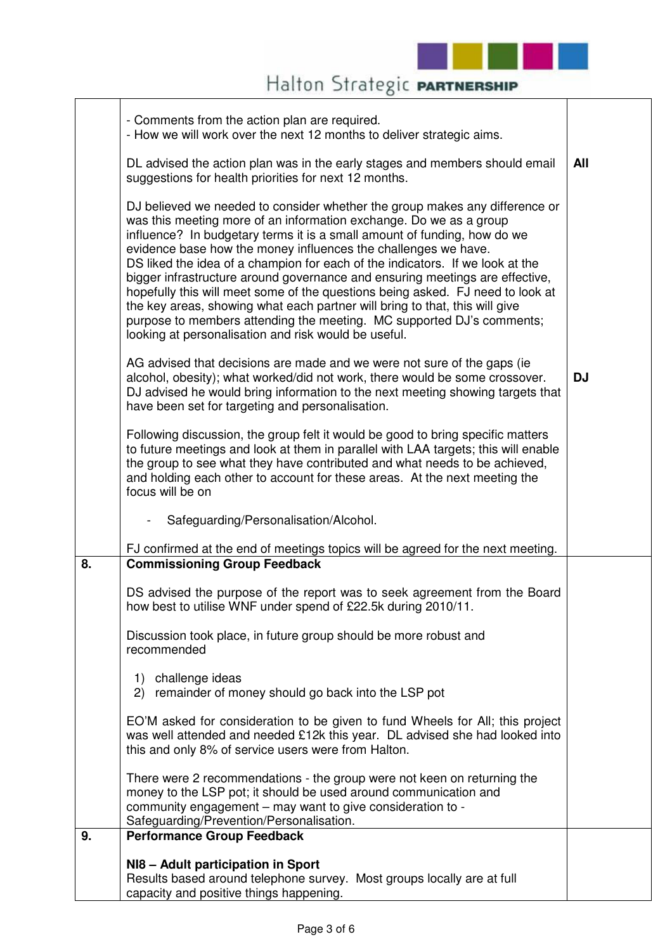

|                  | - Comments from the action plan are required.<br>- How we will work over the next 12 months to deliver strategic aims.                                                                                                                                                                                                                                                                                                                                                                                                                                                                                                                                                                                                                                             |           |
|------------------|--------------------------------------------------------------------------------------------------------------------------------------------------------------------------------------------------------------------------------------------------------------------------------------------------------------------------------------------------------------------------------------------------------------------------------------------------------------------------------------------------------------------------------------------------------------------------------------------------------------------------------------------------------------------------------------------------------------------------------------------------------------------|-----------|
|                  | DL advised the action plan was in the early stages and members should email<br>suggestions for health priorities for next 12 months.                                                                                                                                                                                                                                                                                                                                                                                                                                                                                                                                                                                                                               | All       |
|                  | DJ believed we needed to consider whether the group makes any difference or<br>was this meeting more of an information exchange. Do we as a group<br>influence? In budgetary terms it is a small amount of funding, how do we<br>evidence base how the money influences the challenges we have.<br>DS liked the idea of a champion for each of the indicators. If we look at the<br>bigger infrastructure around governance and ensuring meetings are effective,<br>hopefully this will meet some of the questions being asked. FJ need to look at<br>the key areas, showing what each partner will bring to that, this will give<br>purpose to members attending the meeting. MC supported DJ's comments;<br>looking at personalisation and risk would be useful. |           |
|                  | AG advised that decisions are made and we were not sure of the gaps (ie<br>alcohol, obesity); what worked/did not work, there would be some crossover.<br>DJ advised he would bring information to the next meeting showing targets that<br>have been set for targeting and personalisation.                                                                                                                                                                                                                                                                                                                                                                                                                                                                       | <b>DJ</b> |
|                  | Following discussion, the group felt it would be good to bring specific matters<br>to future meetings and look at them in parallel with LAA targets; this will enable<br>the group to see what they have contributed and what needs to be achieved,<br>and holding each other to account for these areas. At the next meeting the<br>focus will be on                                                                                                                                                                                                                                                                                                                                                                                                              |           |
|                  | Safeguarding/Personalisation/Alcohol.<br>$\overline{\phantom{0}}$                                                                                                                                                                                                                                                                                                                                                                                                                                                                                                                                                                                                                                                                                                  |           |
|                  | FJ confirmed at the end of meetings topics will be agreed for the next meeting.                                                                                                                                                                                                                                                                                                                                                                                                                                                                                                                                                                                                                                                                                    |           |
| 8.               | <b>Commissioning Group Feedback</b>                                                                                                                                                                                                                                                                                                                                                                                                                                                                                                                                                                                                                                                                                                                                |           |
|                  | DS advised the purpose of the report was to seek agreement from the Board<br>how best to utilise WNF under spend of £22.5k during 2010/11.                                                                                                                                                                                                                                                                                                                                                                                                                                                                                                                                                                                                                         |           |
|                  | Discussion took place, in future group should be more robust and<br>recommended                                                                                                                                                                                                                                                                                                                                                                                                                                                                                                                                                                                                                                                                                    |           |
|                  | challenge ideas<br>1)<br>remainder of money should go back into the LSP pot<br>(2)                                                                                                                                                                                                                                                                                                                                                                                                                                                                                                                                                                                                                                                                                 |           |
|                  | EO'M asked for consideration to be given to fund Wheels for All; this project<br>was well attended and needed £12k this year. DL advised she had looked into<br>this and only 8% of service users were from Halton.                                                                                                                                                                                                                                                                                                                                                                                                                                                                                                                                                |           |
|                  | There were 2 recommendations - the group were not keen on returning the<br>money to the LSP pot; it should be used around communication and<br>community engagement – may want to give consideration to -<br>Safeguarding/Prevention/Personalisation.                                                                                                                                                                                                                                                                                                                                                                                                                                                                                                              |           |
| $\overline{9}$ . | <b>Performance Group Feedback</b>                                                                                                                                                                                                                                                                                                                                                                                                                                                                                                                                                                                                                                                                                                                                  |           |
|                  | NI8 - Adult participation in Sport<br>Results based around telephone survey. Most groups locally are at full<br>capacity and positive things happening.                                                                                                                                                                                                                                                                                                                                                                                                                                                                                                                                                                                                            |           |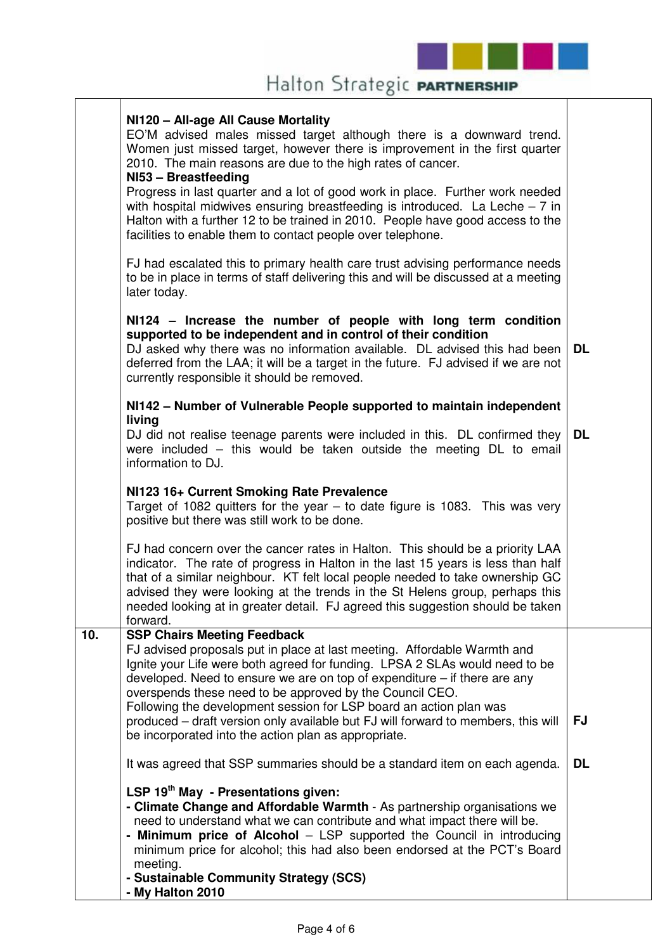

#### **NI120 – All-age All Cause Mortality**

EO'M advised males missed target although there is a downward trend. Women just missed target, however there is improvement in the first quarter 2010. The main reasons are due to the high rates of cancer.

#### **NI53 – Breastfeeding**

Progress in last quarter and a lot of good work in place. Further work needed with hospital midwives ensuring breastfeeding is introduced. La Leche  $-7$  in Halton with a further 12 to be trained in 2010. People have good access to the facilities to enable them to contact people over telephone.

FJ had escalated this to primary health care trust advising performance needs to be in place in terms of staff delivering this and will be discussed at a meeting later today.

#### **NI124 – Increase the number of people with long term condition supported to be independent and in control of their condition**

DJ asked why there was no information available. DL advised this had been deferred from the LAA; it will be a target in the future. FJ advised if we are not currently responsible it should be removed. **DL** 

#### **NI142 – Number of Vulnerable People supported to maintain independent living**

DJ did not realise teenage parents were included in this. DL confirmed they were included – this would be taken outside the meeting DL to email information to DJ. **DL** 

#### **NI123 16+ Current Smoking Rate Prevalence**

Target of 1082 quitters for the year – to date figure is 1083. This was very positive but there was still work to be done.

FJ had concern over the cancer rates in Halton. This should be a priority LAA indicator. The rate of progress in Halton in the last 15 years is less than half that of a similar neighbour. KT felt local people needed to take ownership GC advised they were looking at the trends in the St Helens group, perhaps this needed looking at in greater detail. FJ agreed this suggestion should be taken forward.

### **10. SSP Chairs Meeting Feedback**  FJ advised proposals put in place at last meeting. Affordable Warmth and

Ignite your Life were both agreed for funding. LPSA 2 SLAs would need to be developed. Need to ensure we are on top of expenditure – if there are any overspends these need to be approved by the Council CEO. Following the development session for LSP board an action plan was

produced – draft version only available but FJ will forward to members, this will be incorporated into the action plan as appropriate. **FJ** 

It was agreed that SSP summaries should be a standard item on each agenda. **DL** 

#### **LSP 19th May - Presentations given:**

- **Climate Change and Affordable Warmth** As partnership organisations we need to understand what we can contribute and what impact there will be.
- **Minimum price of Alcohol** LSP supported the Council in introducing minimum price for alcohol; this had also been endorsed at the PCT's Board meeting.
- **Sustainable Community Strategy (SCS) - My Halton 2010**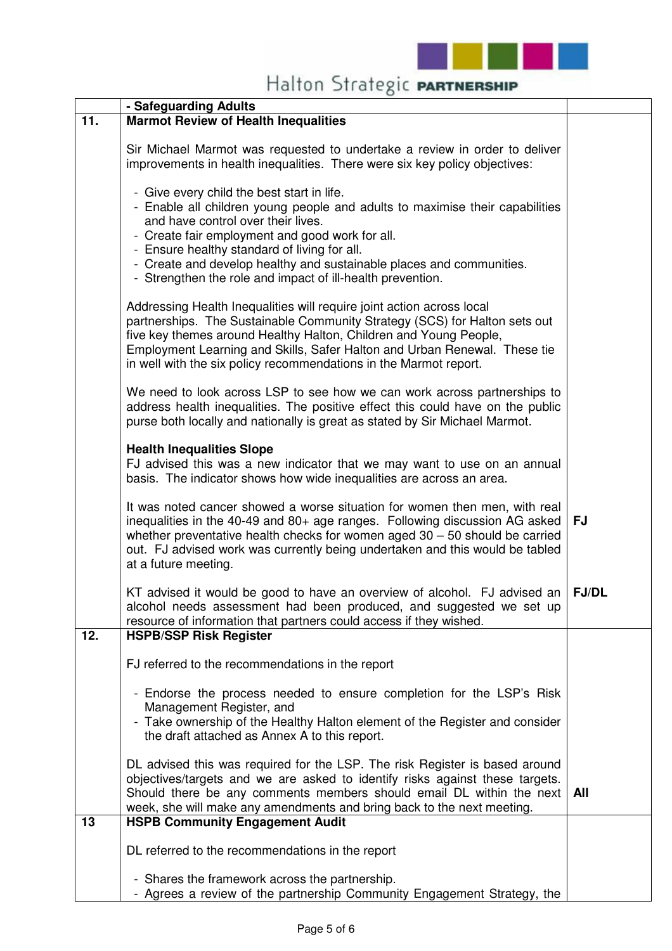

|     | - Safeguarding Adults                                                                                                                                                                                                                                                                                                                                                                                     |              |
|-----|-----------------------------------------------------------------------------------------------------------------------------------------------------------------------------------------------------------------------------------------------------------------------------------------------------------------------------------------------------------------------------------------------------------|--------------|
| 11. | <b>Marmot Review of Health Inequalities</b>                                                                                                                                                                                                                                                                                                                                                               |              |
|     | Sir Michael Marmot was requested to undertake a review in order to deliver<br>improvements in health inequalities. There were six key policy objectives:                                                                                                                                                                                                                                                  |              |
|     | - Give every child the best start in life.<br>- Enable all children young people and adults to maximise their capabilities<br>and have control over their lives.<br>- Create fair employment and good work for all.<br>- Ensure healthy standard of living for all.<br>- Create and develop healthy and sustainable places and communities.<br>- Strengthen the role and impact of ill-health prevention. |              |
|     | Addressing Health Inequalities will require joint action across local<br>partnerships. The Sustainable Community Strategy (SCS) for Halton sets out<br>five key themes around Healthy Halton, Children and Young People,<br>Employment Learning and Skills, Safer Halton and Urban Renewal. These tie<br>in well with the six policy recommendations in the Marmot report.                                |              |
|     | We need to look across LSP to see how we can work across partnerships to<br>address health inequalities. The positive effect this could have on the public<br>purse both locally and nationally is great as stated by Sir Michael Marmot.                                                                                                                                                                 |              |
|     | <b>Health Inequalities Slope</b><br>FJ advised this was a new indicator that we may want to use on an annual<br>basis. The indicator shows how wide inequalities are across an area.                                                                                                                                                                                                                      |              |
|     | It was noted cancer showed a worse situation for women then men, with real<br>inequalities in the 40-49 and 80+ age ranges. Following discussion AG asked<br>whether preventative health checks for women aged $30 - 50$ should be carried<br>out. FJ advised work was currently being undertaken and this would be tabled<br>at a future meeting.                                                        | <b>FJ</b>    |
|     | KT advised it would be good to have an overview of alcohol. FJ advised an<br>alcohol needs assessment had been produced, and suggested we set up<br>resource of information that partners could access if they wished.                                                                                                                                                                                    | <b>FJ/DL</b> |
| 12. | <b>HSPB/SSP Risk Register</b>                                                                                                                                                                                                                                                                                                                                                                             |              |
|     | FJ referred to the recommendations in the report                                                                                                                                                                                                                                                                                                                                                          |              |
|     | - Endorse the process needed to ensure completion for the LSP's Risk<br>Management Register, and<br>- Take ownership of the Healthy Halton element of the Register and consider<br>the draft attached as Annex A to this report.                                                                                                                                                                          |              |
|     | DL advised this was required for the LSP. The risk Register is based around<br>objectives/targets and we are asked to identify risks against these targets.<br>Should there be any comments members should email DL within the next<br>week, she will make any amendments and bring back to the next meeting.                                                                                             | All          |
| 13  | <b>HSPB Community Engagement Audit</b>                                                                                                                                                                                                                                                                                                                                                                    |              |
|     | DL referred to the recommendations in the report                                                                                                                                                                                                                                                                                                                                                          |              |
|     | - Shares the framework across the partnership.<br>- Agrees a review of the partnership Community Engagement Strategy, the                                                                                                                                                                                                                                                                                 |              |